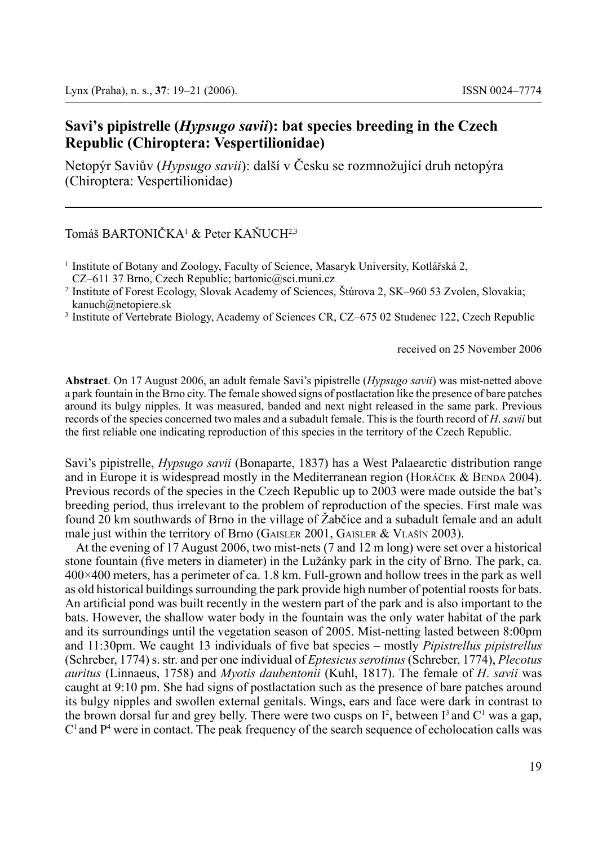# **Savi's pipistrelle (***Hypsugo savii***): bat species breeding in the Czech Republic (Chiroptera: Vespertilionidae)**

Netopýr Saviův (*Hypsugo savii*): další v Česku se rozmnožující druh netopýra (Chiroptera: Vespertilionidae)

### Tomáš BARTONIČKA<sup>1</sup> & Peter KAŇUCH<sup>2,3</sup>

received on 25 November 2006

**Abstract**. On 17 August 2006, an adult female Savi's pipistrelle (*Hypsugo savii*) was mist-netted above a park fountain in the Brno city. The female showed signs of postlactation like the presence of bare patches around its bulgy nipples. It was measured, banded and next night released in the same park. Previous records of the species concerned two males and a subadult female. This is the fourth record of *H*. *savii* but the first reliable one indicating reproduction of this species in the territory of the Czech Republic.

Savi's pipistrelle, *Hypsugo savii* (Bonaparte, 1837) has a West Palaearctic distribution range and in Europe it is widespread mostly in the Mediterranean region (Horáček & Benda 2004). Previous records of the species in the Czech Republic up to 2003 were made outside the bat's breeding period, thus irrelevant to the problem of reproduction of the species. First male was found 20 km southwards of Brno in the village of Žabčice and a subadult female and an adult male just within the territory of Brno (GAISLER 2001, GAISLER & VLAŠÍN 2003).

At the evening of 17 August 2006, two mist-nets (7 and 12 m long) were set over a historical stone fountain (five meters in diameter) in the Lužánky park in the city of Brno. The park, ca. 400×400 meters, has a perimeter of ca. 1.8 km. Full-grown and hollow trees in the park as well as old historical buildings surrounding the park provide high number of potential roosts for bats. An artificial pond was built recently in the western part of the park and is also important to the bats. However, the shallow water body in the fountain was the only water habitat of the park and its surroundings until the vegetation season of 2005. Mist-netting lasted between 8:00pm and 11:30pm. We caught 13 individuals of five bat species – mostly *Pipistrellus pipistrellus* (Schreber, 1774) s. str. and per one individual of *Eptesicusserotinus* (Schreber, 1774), *Plecotus auritus* (Linnaeus, 1758) and *Myotis daubentonii* (Kuhl, 1817). The female of *H*. *savii* was caught at 9:10 pm. She had signs of postlactation such as the presence of bare patches around its bulgy nipples and swollen external genitals. Wings, ears and face were dark in contrast to the brown dorsal fur and grey belly. There were two cusps on  $I^2$ , between  $I^3$  and  $C^1$  was a gap,  $C<sup>1</sup>$  and  $P<sup>4</sup>$  were in contact. The peak frequency of the search sequence of echolocation calls was

<sup>&</sup>lt;sup>1</sup> Institute of Botany and Zoology, Faculty of Science, Masaryk University, Kotlářská 2, CZ–611 37 Brno, Czech Republic; bartonic@sci.muni.cz

<sup>2</sup> Institute of Forest Ecology, Slovak Academy of Sciences, Štúrova 2, SK–960 53 Zvolen, Slovakia; kanuch@netopiere.sk

<sup>3</sup> Institute of Vertebrate Biology, Academy of Sciences CR, CZ–675 02 Studenec 122, Czech Republic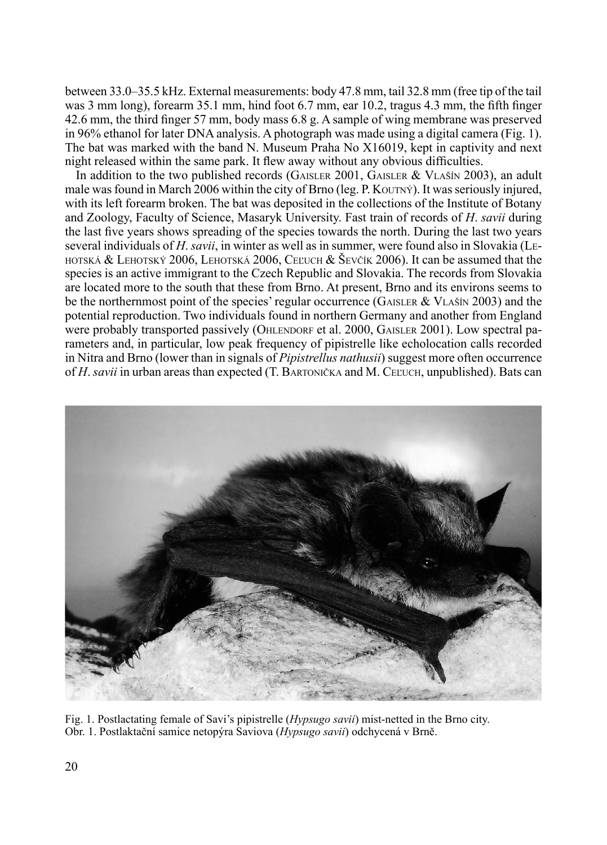between 33.0–35.5 kHz. External measurements: body 47.8 mm, tail 32.8 mm (free tip of the tail was 3 mm long), forearm 35.1 mm, hind foot 6.7 mm, ear 10.2, tragus 4.3 mm, the fifth finger 42.6 mm, the third finger 57 mm, body mass 6.8 g. A sample of wing membrane was preserved in 96% ethanol for later DNA analysis. A photograph was made using a digital camera (Fig. 1). The bat was marked with the band N. Museum Praha No X16019, kept in captivity and next night released within the same park. It flew away without any obvious difficulties.

In addition to the two published records (GAISLER 2001, GAISLER & VLAŠÍN 2003), an adult male was found in March 2006 within the city of Brno (leg. P. Koutný). It was seriously injured, with its left forearm broken. The bat was deposited in the collections of the Institute of Botany and Zoology, Faculty of Science, Masaryk University. Fast train of records of *H*. *savii* during the last five years shows spreading of the species towards the north. During the last two years several individuals of *H*. *savii*, in winter as well as in summer, were found also in Slovakia (Le-HOTSKÁ  $&$  LEHOTSKÝ 2006, LEHOTSKÁ 2006, CEĽUCH  $&$  ŠEVČÍK 2006). It can be assumed that the species is an active immigrant to the Czech Republic and Slovakia. The records from Slovakia are located more to the south that these from Brno. At present, Brno and its environs seems to be the northernmost point of the species' regular occurrence (GAISLER & VLASIN 2003) and the potential reproduction. Two individuals found in northern Germany and another from England were probably transported passively (OHLENDORF et al. 2000, GAISLER 2001). Low spectral parameters and, in particular, low peak frequency of pipistrelle like echolocation calls recorded in Nitra and Brno (lower than in signals of *Pipistrellus nathusii*) suggest more often occurrence of *H. savii* in urban areas than expected (T. BARTONIČKA and M. CEĽUCH, unpublished). Bats can



Fig. 1. Postlactating female of Savi's pipistrelle (*Hypsugo savii*) mist-netted in the Brno city. Obr. 1. Postlaktační samice netopýra Saviova (*Hypsugo savii*) odchycená v Brně.